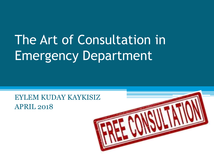# The Art of Consultation in Emergency Department

EYLEM KUDAY KAYKISIZ APRIL 2018

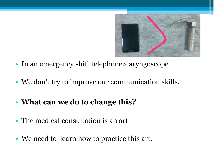

- In an emergency shift telephone>laryngoscope
- We don't try to improve our communication skills.
- **What can we do to change this?**
- The medical consultation is an art
- We need to learn how to practice this art.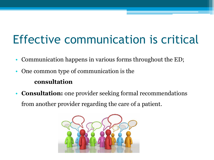# Effective communication is critical

- Communication happens in various forms throughout the ED;
- One common type of communication is the

### **consultation**

• **Consultation:** one provider seeking formal recommendations from another provider regarding the care of a patient.

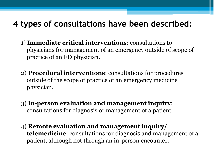## **4 types of consultations have been described:**

- 1) **Immediate critical interventions**: consultations to physicians for management of an emergency outside of scope of practice of an ED physician.
- 2) **Procedural interventions**: consultations for procedures outside of the scope of practice of an emergency medicine physician.
- 3) **In-person evaluation and management inquiry**: consultations for diagnosis or management of a patient.
- 4) **Remote evaluation and management inquiry/ telemedicine**: consultations for diagnosis and management of a patient, although not through an in-person encounter.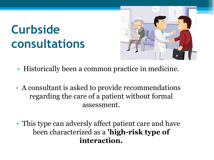# **Curbside consultations**



- Historically been a common practice in medicine.
- A consultant is asked to provide recommendations regarding the care of a patient without formal assessment.
- This type can adversly affect patient care and have been characterized as a **'high-risk type of interaction.**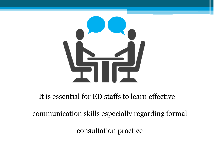

### It is essential for ED staffs to learn effective

communication skills especially regarding formal

consultation practice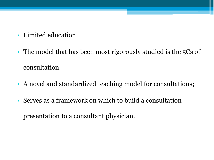- Limited education
- The model that has been most rigorously studied is the 5Cs of consultation.
- A novel and standardized teaching model for consultations;
- Serves as a framework on which to build a consultation presentation to a consultant physician.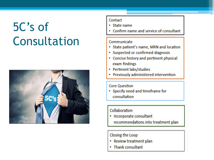# 5C's of Consultation



#### Contact

- · State name
- Confirm name and service of consultant

#### Communicate

- State patient's name, MRN and location
- · Suspected or confirmed diagnosis
- Concise history and pertinent physical exam findings
- Pertinent labs/studies
- · Previously administered intervention

#### **Core Question**

• Specify need and timeframe for consultation

#### Collaboration

• Incorporate consultant recommendations into treatment plan

#### Closing the Loop

- Review treatment plan
- . Thank consultant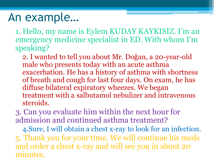## An example…

1. Hello, my name is Eylem KUDAY KAYKISIZ. I'm an emergency medicine specialist in ED. With whom I'm speaking?

2. I wanted to tell you about Mr. Doğan, a 20-year-old male who presents today with an acute asthma exacerbation. He has a history of asthma with shortness of breath and cough for last four days. On exam, he has diffuse bilateral expiratory wheezes. We began treatment with a salbutamol nebulizer and intravenous steroids.

3. Can you evaluate him within the next hour for admission and continued asthma treatment?

4.Sure, I will obtain a chest x-ray to look for an infection. 5. Thank you for your time. We will continue his meds and order a chest x-ray and will see you in about 20 minutes.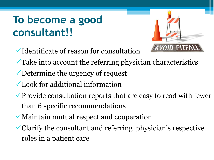## **To become a good consultant!!**

- $\checkmark$  Identificate of reason for consultation
- Take into account the referring physician characteristics
- Determine the urgency of request
- Look for additional information
- $\checkmark$  Provide consultation reports that are easy to read with fewer than 6 specific recommendations
- Maintain mutual respect and cooperation
- Clarify the consultant and referring physician's respective roles in a patient care

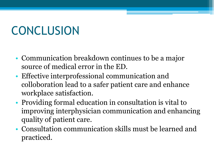# **CONCLUSION**

- Communication breakdown continues to be a major source of medical error in the ED.
- Effective interprofessional communication and colloboration lead to a safer patient care and enhance workplace satisfaction.
- Providing formal education in consultation is vital to improving interphysician communication and enhancing quality of patient care.
- Consultation communication skills must be learned and practiced.